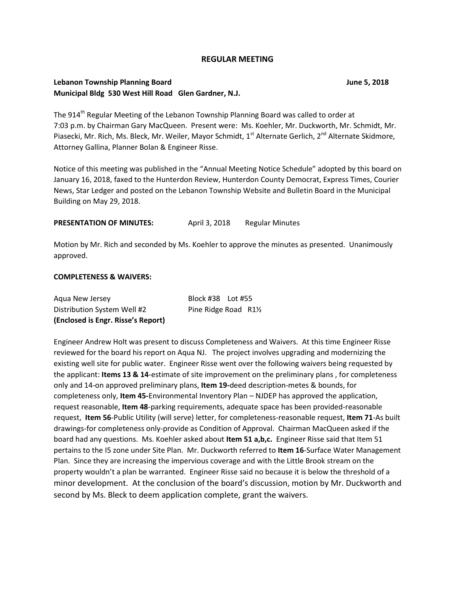#### **REGULAR MEETING**

### **Lebanon Township Planning Board June 5, 2018 Municipal Bldg 530 West Hill Road Glen Gardner, N.J.**

The 914<sup>th</sup> Regular Meeting of the Lebanon Township Planning Board was called to order at 7:03 p.m. by Chairman Gary MacQueen. Present were: Ms. Koehler, Mr. Duckworth, Mr. Schmidt, Mr. Piasecki, Mr. Rich, Ms. Bleck, Mr. Weiler, Mayor Schmidt, 1<sup>st</sup> Alternate Gerlich, 2<sup>nd</sup> Alternate Skidmore, Attorney Gallina, Planner Bolan & Engineer Risse.

Notice of this meeting was published in the "Annual Meeting Notice Schedule" adopted by this board on January 16, 2018, faxed to the Hunterdon Review, Hunterdon County Democrat, Express Times, Courier News, Star Ledger and posted on the Lebanon Township Website and Bulletin Board in the Municipal Building on May 29, 2018.

#### **PRESENTATION OF MINUTES:** April 3, 2018 Regular Minutes

Motion by Mr. Rich and seconded by Ms. Koehler to approve the minutes as presented. Unanimously approved.

#### **COMPLETENESS & WAIVERS:**

| (Enclosed is Engr. Risse's Report) |                      |  |
|------------------------------------|----------------------|--|
| Distribution System Well #2        | Pine Ridge Road R1½  |  |
| Agua New Jersey                    | Block #38    Lot #55 |  |

Engineer Andrew Holt was present to discuss Completeness and Waivers. At this time Engineer Risse reviewed for the board his report on Aqua NJ. The project involves upgrading and modernizing the existing well site for public water. Engineer Risse went over the following waivers being requested by the applicant: **Items 13 & 14**-estimate of site improvement on the preliminary plans , for completeness only and 14-on approved preliminary plans, **Item 19-**deed description-metes & bounds, for completeness only, **Item 45-**Environmental Inventory Plan – NJDEP has approved the application, request reasonable, **Item 48**-parking requirements, adequate space has been provided-reasonable request, **Item 56**-Public Utility (will serve) letter, for completeness-reasonable request, **Item 71**-As built drawings-for completeness only-provide as Condition of Approval. Chairman MacQueen asked if the board had any questions. Ms. Koehler asked about **Item 51 a,b,c.** Engineer Risse said that Item 51 pertains to the I5 zone under Site Plan. Mr. Duckworth referred to **Item 16**-Surface Water Management Plan. Since they are increasing the impervious coverage and with the Little Brook stream on the property wouldn't a plan be warranted. Engineer Risse said no because it is below the threshold of a minor development. At the conclusion of the board's discussion, motion by Mr. Duckworth and second by Ms. Bleck to deem application complete, grant the waivers.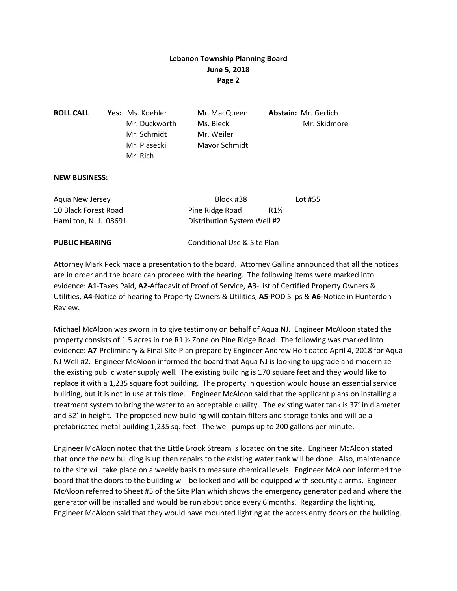| <b>ROLL CALL</b> | <b>Yes:</b> Ms. Koehler | Mr. MacQueen  | <b>Abstain: Mr. Gerlich</b> |
|------------------|-------------------------|---------------|-----------------------------|
|                  | Mr. Duckworth           | Ms. Bleck     | Mr. Skidmore                |
|                  | Mr. Schmidt             | Mr. Weiler    |                             |
|                  | Mr. Piasecki            | Mayor Schmidt |                             |
|                  | Mr. Rich                |               |                             |
|                  |                         |               |                             |

#### **NEW BUSINESS:**

| <b>PUBLIC HEARING</b> | Conditional Use & Site Plan        |         |
|-----------------------|------------------------------------|---------|
| Hamilton, N. J. 08691 | Distribution System Well #2        |         |
| 10 Black Forest Road  | Pine Ridge Road<br>$R1\frac{1}{2}$ |         |
| Agua New Jersey       | Block #38                          | Lot #55 |

Attorney Mark Peck made a presentation to the board. Attorney Gallina announced that all the notices are in order and the board can proceed with the hearing. The following items were marked into evidence: **A1**-Taxes Paid, **A2-**Affadavit of Proof of Service, **A3**-List of Certified Property Owners & Utilities, **A4-**Notice of hearing to Property Owners & Utilities, **A5-**POD Slips & **A6-**Notice in Hunterdon Review.

Michael McAloon was sworn in to give testimony on behalf of Aqua NJ. Engineer McAloon stated the property consists of 1.5 acres in the R1 ½ Zone on Pine Ridge Road. The following was marked into evidence: **A7**-Preliminary & Final Site Plan prepare by Engineer Andrew Holt dated April 4, 2018 for Aqua NJ Well #2. Engineer McAloon informed the board that Aqua NJ is looking to upgrade and modernize the existing public water supply well. The existing building is 170 square feet and they would like to replace it with a 1,235 square foot building. The property in question would house an essential service building, but it is not in use at this time. Engineer McAloon said that the applicant plans on installing a treatment system to bring the water to an acceptable quality. The existing water tank is 37' in diameter and 32' in height. The proposed new building will contain filters and storage tanks and will be a prefabricated metal building 1,235 sq. feet. The well pumps up to 200 gallons per minute.

Engineer McAloon noted that the Little Brook Stream is located on the site. Engineer McAloon stated that once the new building is up then repairs to the existing water tank will be done. Also, maintenance to the site will take place on a weekly basis to measure chemical levels. Engineer McAloon informed the board that the doors to the building will be locked and will be equipped with security alarms. Engineer McAloon referred to Sheet #5 of the Site Plan which shows the emergency generator pad and where the generator will be installed and would be run about once every 6 months. Regarding the lighting, Engineer McAloon said that they would have mounted lighting at the access entry doors on the building.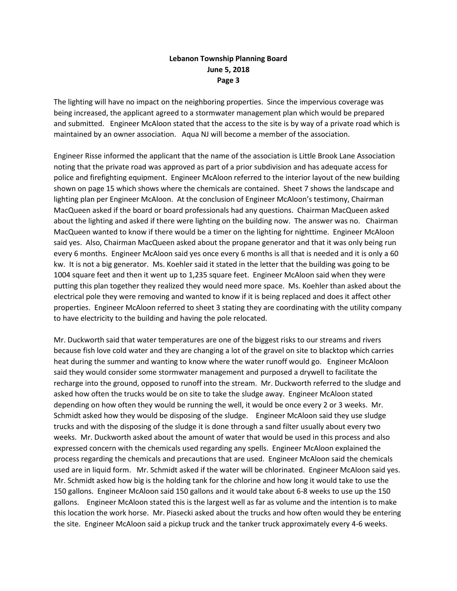The lighting will have no impact on the neighboring properties. Since the impervious coverage was being increased, the applicant agreed to a stormwater management plan which would be prepared and submitted. Engineer McAloon stated that the access to the site is by way of a private road which is maintained by an owner association. Aqua NJ will become a member of the association.

Engineer Risse informed the applicant that the name of the association is Little Brook Lane Association noting that the private road was approved as part of a prior subdivision and has adequate access for police and firefighting equipment. Engineer McAloon referred to the interior layout of the new building shown on page 15 which shows where the chemicals are contained. Sheet 7 shows the landscape and lighting plan per Engineer McAloon. At the conclusion of Engineer McAloon's testimony, Chairman MacQueen asked if the board or board professionals had any questions. Chairman MacQueen asked about the lighting and asked if there were lighting on the building now. The answer was no. Chairman MacQueen wanted to know if there would be a timer on the lighting for nighttime. Engineer McAloon said yes. Also, Chairman MacQueen asked about the propane generator and that it was only being run every 6 months. Engineer McAloon said yes once every 6 months is all that is needed and it is only a 60 kw. It is not a big generator. Ms. Koehler said it stated in the letter that the building was going to be 1004 square feet and then it went up to 1,235 square feet. Engineer McAloon said when they were putting this plan together they realized they would need more space. Ms. Koehler than asked about the electrical pole they were removing and wanted to know if it is being replaced and does it affect other properties. Engineer McAloon referred to sheet 3 stating they are coordinating with the utility company to have electricity to the building and having the pole relocated.

Mr. Duckworth said that water temperatures are one of the biggest risks to our streams and rivers because fish love cold water and they are changing a lot of the gravel on site to blacktop which carries heat during the summer and wanting to know where the water runoff would go. Engineer McAloon said they would consider some stormwater management and purposed a drywell to facilitate the recharge into the ground, opposed to runoff into the stream. Mr. Duckworth referred to the sludge and asked how often the trucks would be on site to take the sludge away. Engineer McAloon stated depending on how often they would be running the well, it would be once every 2 or 3 weeks. Mr. Schmidt asked how they would be disposing of the sludge. Engineer McAloon said they use sludge trucks and with the disposing of the sludge it is done through a sand filter usually about every two weeks. Mr. Duckworth asked about the amount of water that would be used in this process and also expressed concern with the chemicals used regarding any spells. Engineer McAloon explained the process regarding the chemicals and precautions that are used. Engineer McAloon said the chemicals used are in liquid form. Mr. Schmidt asked if the water will be chlorinated. Engineer McAloon said yes. Mr. Schmidt asked how big is the holding tank for the chlorine and how long it would take to use the 150 gallons. Engineer McAloon said 150 gallons and it would take about 6-8 weeks to use up the 150 gallons. Engineer McAloon stated this is the largest well as far as volume and the intention is to make this location the work horse. Mr. Piasecki asked about the trucks and how often would they be entering the site. Engineer McAloon said a pickup truck and the tanker truck approximately every 4-6 weeks.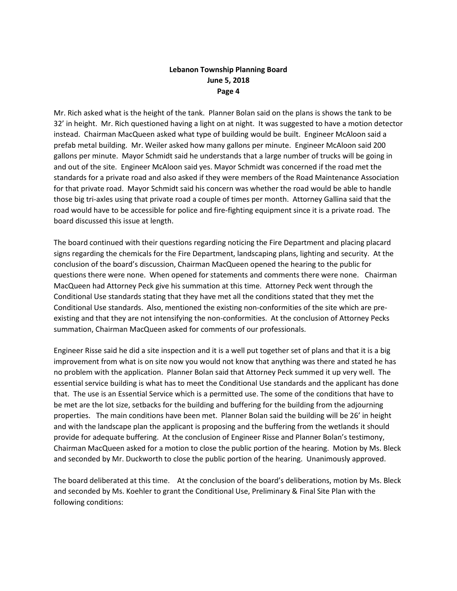Mr. Rich asked what is the height of the tank. Planner Bolan said on the plans is shows the tank to be 32' in height. Mr. Rich questioned having a light on at night. It was suggested to have a motion detector instead. Chairman MacQueen asked what type of building would be built. Engineer McAloon said a prefab metal building. Mr. Weiler asked how many gallons per minute. Engineer McAloon said 200 gallons per minute. Mayor Schmidt said he understands that a large number of trucks will be going in and out of the site. Engineer McAloon said yes. Mayor Schmidt was concerned if the road met the standards for a private road and also asked if they were members of the Road Maintenance Association for that private road. Mayor Schmidt said his concern was whether the road would be able to handle those big tri-axles using that private road a couple of times per month. Attorney Gallina said that the road would have to be accessible for police and fire-fighting equipment since it is a private road. The board discussed this issue at length.

The board continued with their questions regarding noticing the Fire Department and placing placard signs regarding the chemicals for the Fire Department, landscaping plans, lighting and security. At the conclusion of the board's discussion, Chairman MacQueen opened the hearing to the public for questions there were none. When opened for statements and comments there were none. Chairman MacQueen had Attorney Peck give his summation at this time. Attorney Peck went through the Conditional Use standards stating that they have met all the conditions stated that they met the Conditional Use standards. Also, mentioned the existing non-conformities of the site which are preexisting and that they are not intensifying the non-conformities. At the conclusion of Attorney Pecks summation, Chairman MacQueen asked for comments of our professionals.

Engineer Risse said he did a site inspection and it is a well put together set of plans and that it is a big improvement from what is on site now you would not know that anything was there and stated he has no problem with the application. Planner Bolan said that Attorney Peck summed it up very well. The essential service building is what has to meet the Conditional Use standards and the applicant has done that. The use is an Essential Service which is a permitted use. The some of the conditions that have to be met are the lot size, setbacks for the building and buffering for the building from the adjourning properties. The main conditions have been met. Planner Bolan said the building will be 26' in height and with the landscape plan the applicant is proposing and the buffering from the wetlands it should provide for adequate buffering. At the conclusion of Engineer Risse and Planner Bolan's testimony, Chairman MacQueen asked for a motion to close the public portion of the hearing. Motion by Ms. Bleck and seconded by Mr. Duckworth to close the public portion of the hearing. Unanimously approved.

The board deliberated at this time. At the conclusion of the board's deliberations, motion by Ms. Bleck and seconded by Ms. Koehler to grant the Conditional Use, Preliminary & Final Site Plan with the following conditions: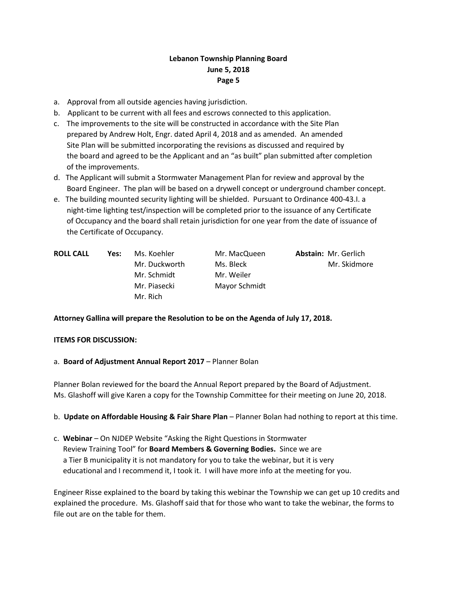- a. Approval from all outside agencies having jurisdiction.
- b. Applicant to be current with all fees and escrows connected to this application.
- c. The improvements to the site will be constructed in accordance with the Site Plan prepared by Andrew Holt, Engr. dated April 4, 2018 and as amended. An amended Site Plan will be submitted incorporating the revisions as discussed and required by the board and agreed to be the Applicant and an "as built" plan submitted after completion of the improvements.
- d. The Applicant will submit a Stormwater Management Plan for review and approval by the Board Engineer. The plan will be based on a drywell concept or underground chamber concept.
- e. The building mounted security lighting will be shielded. Pursuant to Ordinance 400-43.I. a night-time lighting test/inspection will be completed prior to the issuance of any Certificate of Occupancy and the board shall retain jurisdiction for one year from the date of issuance of the Certificate of Occupancy.

| <b>ROLL CALL</b> | Yes: | Ms. Koehler   | Mr. MacQueen  | <b>Abstain: Mr. Gerlich</b> |
|------------------|------|---------------|---------------|-----------------------------|
|                  |      | Mr. Duckworth | Ms. Bleck     | Mr. Skidmore                |
|                  |      | Mr. Schmidt   | Mr. Weiler    |                             |
|                  |      | Mr. Piasecki  | Mayor Schmidt |                             |
|                  |      | Mr. Rich      |               |                             |

### **Attorney Gallina will prepare the Resolution to be on the Agenda of July 17, 2018.**

### **ITEMS FOR DISCUSSION:**

a. **Board of Adjustment Annual Report 2017** – Planner Bolan

Planner Bolan reviewed for the board the Annual Report prepared by the Board of Adjustment. Ms. Glashoff will give Karen a copy for the Township Committee for their meeting on June 20, 2018.

- b. **Update on Affordable Housing & Fair Share Plan** Planner Bolan had nothing to report at this time.
- c. **Webinar**  On NJDEP Website "Asking the Right Questions in Stormwater Review Training Tool" for **Board Members & Governing Bodies.** Since we are a Tier B municipality it is not mandatory for you to take the webinar, but it is very educational and I recommend it, I took it. I will have more info at the meeting for you.

Engineer Risse explained to the board by taking this webinar the Township we can get up 10 credits and explained the procedure. Ms. Glashoff said that for those who want to take the webinar, the forms to file out are on the table for them.